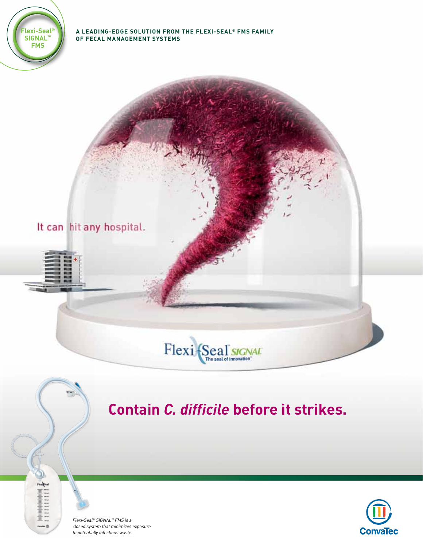

#### **A leading-edge solution from the Flexi-Seal® FMS family of fecal management Systems**



#### Flexi {Seal JAL The seal of innovation

### **Contain** *C. difficile* **before it strikes.**



 $-8$ 

*Flexi-Seal® SIGNAL™ FMS is a closed system that minimizes exposure to potentially infectious waste.*

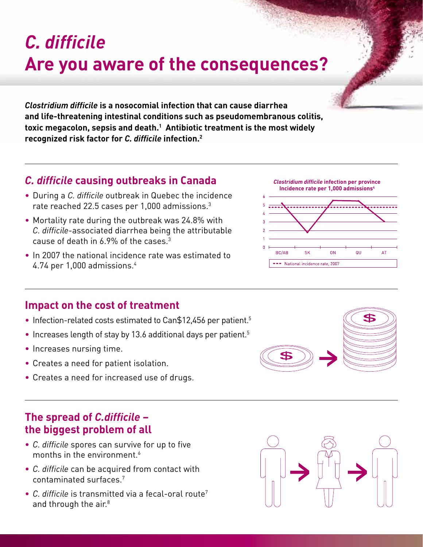# *C. difficile* **Are you aware of the consequences?**

*Clostridium difficile* **is a nosocomial infection that can cause diarrhea and life-threatening intestinal conditions such as pseudomembranous colitis, toxic megacolon, sepsis and death.1 Antibiotic treatment is the most widely recognized risk factor for** *C. difficile* **infection.2**

#### *C. difficile* **causing outbreaks in Canada**

- • During a *C. difficile* outbreak in Quebec the incidence rate reached 22.5 cases per 1,000 admissions.3
- Mortality rate during the outbreak was 24.8% with *C. difficile*-associated diarrhea being the attributable cause of death in 6.9% of the cases.3
- In 2007 the national incidence rate was estimated to 4.74 per 1,000 admissions.4



- Infection-related costs estimated to Can\$12,456 per patient.<sup>5</sup>
- Increases length of stay by 13.6 additional days per patient.<sup>5</sup>
- Increases nursing time.
- • Creates a need for patient isolation.
- Creates a need for increased use of drugs.

#### **The spread of** *C.difficile* **– the biggest problem of all**

- *C. difficile* spores can survive for up to five months in the environment.<sup>6</sup>
- *C. difficile* can be acquired from contact with contaminated surfaces.7
- *C. difficile* is transmitted via a fecal-oral route7 and through the air.<sup>8</sup>





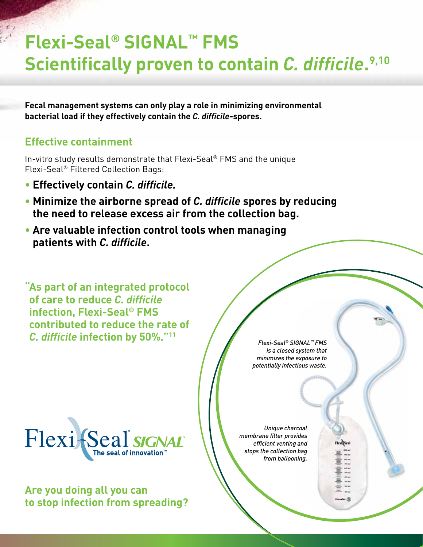## **Flexi-Seal® SIGNAL™ FMS Scientifically proven to contain** *C. difficile***. 9,10**

**Fecal management systems can only play a role in minimizing environmental bacterial load if they effectively contain the** *C. difficile***-spores.** 

### **Effective containment**

In-vitro study results demonstrate that Flexi-Seal® FMS and the unique Flexi-Seal® Filtered Collection Bags:

- **• Effectively contain** *C. difficile.*
- **• Minimize the airborne spread of** *C. difficile* **spores by reducing the need to release excess air from the collection bag.**
- **• Are valuable infection control tools when managing patients with** *C. difficile***.**

**" As part of an integrated protocol of care to reduce** *C. difficile* **infection, Flexi-Seal® FMS contributed to reduce the rate of**  *C. difficile* **infection by 50%."11**



**Are you doing all you can to stop infection from spreading?**

*Flexi-Seal® SIGNAL™ FMS is a closed system that minimizes the exposure to potentially infectious waste.*

*Unique charcoal membrane filter provides efficient venting and stops the collection bag from ballooning.*